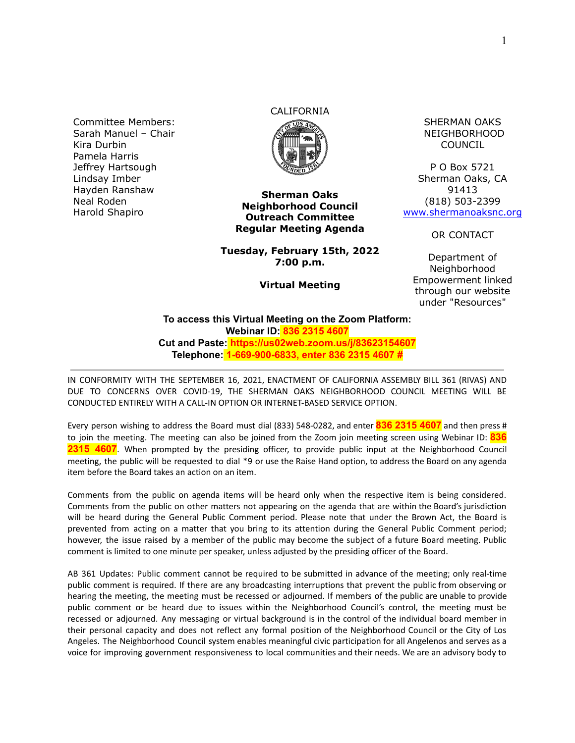Committee Members: Sarah Manuel – Chair Kira Durbin Pamela Harris Jeffrey Hartsough Lindsay Imber Hayden Ranshaw Neal Roden Harold Shapiro

## CALIFORNIA



**Tuesday, February 15th, 2022 7:00 p.m.**

**Virtual Meeting**

SHERMAN OAKS NEIGHBORHOOD COUNCIL

P O Box 5721 Sherman Oaks, CA 91413 (818) 503-2399 [www.shermanoaksnc.org](http://www.shermanoaksnc.org/)

OR CONTACT

Department of Neighborhood Empowerment linked through our website under "Resources"

**To access this Virtual Meeting on the Zoom Platform: Webinar ID: 836 2315 4607 Cut and Paste: https://us02web.zoom.us/j/83623154607 Telephone: 1-669-900-6833, enter 836 2315 4607 #**

IN CONFORMITY WITH THE SEPTEMBER 16, 2021, ENACTMENT OF CALIFORNIA ASSEMBLY BILL 361 (RIVAS) AND DUE TO CONCERNS OVER COVID-19, THE SHERMAN OAKS NEIGHBORHOOD COUNCIL MEETING WILL BE CONDUCTED ENTIRELY WITH A CALL-IN OPTION OR INTERNET-BASED SERVICE OPTION.

Every person wishing to address the Board must dial (833) 548-0282, and enter **836 2315 4607** and then press # to join the meeting. The meeting can also be joined from the Zoom join meeting screen using Webinar ID: **836 2315 4607**. When prompted by the presiding officer, to provide public input at the Neighborhood Council meeting, the public will be requested to dial \*9 or use the Raise Hand option, to address the Board on any agenda item before the Board takes an action on an item.

Comments from the public on agenda items will be heard only when the respective item is being considered. Comments from the public on other matters not appearing on the agenda that are within the Board's jurisdiction will be heard during the General Public Comment period. Please note that under the Brown Act, the Board is prevented from acting on a matter that you bring to its attention during the General Public Comment period; however, the issue raised by a member of the public may become the subject of a future Board meeting. Public comment is limited to one minute per speaker, unless adjusted by the presiding officer of the Board.

AB 361 Updates: Public comment cannot be required to be submitted in advance of the meeting; only real-time public comment is required. If there are any broadcasting interruptions that prevent the public from observing or hearing the meeting, the meeting must be recessed or adjourned. If members of the public are unable to provide public comment or be heard due to issues within the Neighborhood Council's control, the meeting must be recessed or adjourned. Any messaging or virtual background is in the control of the individual board member in their personal capacity and does not reflect any formal position of the Neighborhood Council or the City of Los Angeles. The Neighborhood Council system enables meaningful civic participation for all Angelenos and serves as a voice for improving government responsiveness to local communities and their needs. We are an advisory body to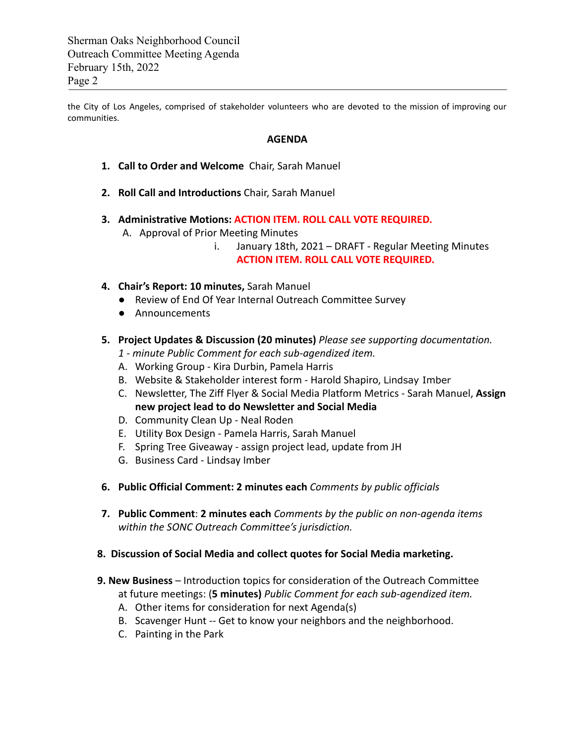Sherman Oaks Neighborhood Council Outreach Committee Meeting Agenda February 15th, 2022 Page 2

the City of Los Angeles, comprised of stakeholder volunteers who are devoted to the mission of improving our communities.

## **AGENDA**

- **1. Call to Order and Welcome** Chair, Sarah Manuel
- **2. Roll Call and Introductions** Chair, Sarah Manuel
- **3. Administrative Motions: ACTION ITEM. ROLL CALL VOTE REQUIRED.**
	- A. Approval of Prior Meeting Minutes
		- i. January 18th, 2021 DRAFT Regular Meeting Minutes **ACTION ITEM. ROLL CALL VOTE REQUIRED.**
- **4. Chair's Report: 10 minutes,** Sarah Manuel
	- Review of End Of Year Internal Outreach Committee Survey
	- Announcements
- **5. Project Updates & Discussion (20 minutes)** *Please see supporting documentation.*
	- *1 minute Public Comment for each sub-agendized item.*
	- A. Working Group Kira Durbin, Pamela Harris
	- B. Website & Stakeholder interest form Harold Shapiro, Lindsay Imber
	- C. Newsletter, The Ziff Flyer & Social Media Platform Metrics Sarah Manuel, **Assign new project lead to do Newsletter and Social Media**
	- D. Community Clean Up Neal Roden
	- E. Utility Box Design Pamela Harris, Sarah Manuel
	- F. Spring Tree Giveaway assign project lead, update from JH
	- G. Business Card Lindsay Imber
- **6. Public Official Comment: 2 minutes each** *Comments by public officials*
- **7. Public Comment**: **2 minutes each** *Comments by the public on non-agenda items within the SONC Outreach Committee's jurisdiction.*
- **8. Discussion of Social Media and collect quotes for Social Media marketing.**
- **9. New Business** Introduction topics for consideration of the Outreach Committee at future meetings: (**5 minutes)** *Public Comment for each sub-agendized item.*
	- A. Other items for consideration for next Agenda(s)
	- B. Scavenger Hunt -- Get to know your neighbors and the neighborhood.
	- C. Painting in the Park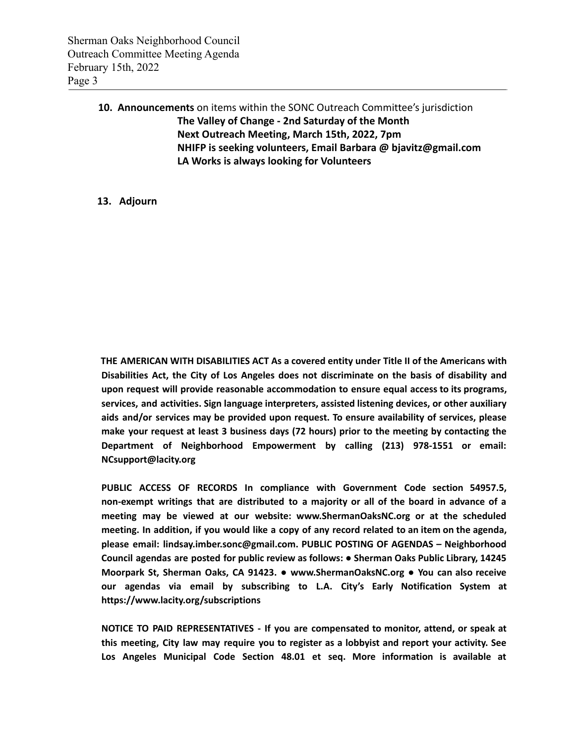## **10. Announcements** on items within the SONC Outreach Committee's jurisdiction **The Valley of Change - 2nd Saturday of the Month Next Outreach Meeting, March 15th, 2022, 7pm NHIFP is seeking volunteers, Email Barbara @ bjavitz@gmail.com LA Works is always looking for Volunteers**

## **13. Adjourn**

**THE AMERICAN WITH DISABILITIES ACT As a covered entity under Title II of the Americans with Disabilities Act, the City of Los Angeles does not discriminate on the basis of disability and upon request will provide reasonable accommodation to ensure equal access to its programs, services, and activities. Sign language interpreters, assisted listening devices, or other auxiliary aids and/or services may be provided upon request. To ensure availability of services, please make your request at least 3 business days (72 hours) prior to the meeting by contacting the Department of Neighborhood Empowerment by calling (213) 978-1551 or email: NCsupport@lacity.org**

**PUBLIC ACCESS OF RECORDS In compliance with Government Code section 54957.5, non-exempt writings that are distributed to a majority or all of the board in advance of a meeting may be viewed at our website: www.ShermanOaksNC.org or at the scheduled** meeting. In addition, if you would like a copy of any record related to an item on the agenda, **please email: lindsay.imber.sonc@gmail.com. PUBLIC POSTING OF AGENDAS – Neighborhood Council agendas are posted for public review as follows: ● Sherman Oaks Public Library, 14245 Moorpark St, Sherman Oaks, CA 91423. ● www.ShermanOaksNC.org ● You can also receive our agendas via email by subscribing to L.A. City's Early Notification System at https://www.lacity.org/subscriptions**

**NOTICE TO PAID REPRESENTATIVES - If you are compensated to monitor, attend, or speak at this meeting, City law may require you to register as a lobbyist and report your activity. See Los Angeles Municipal Code Section 48.01 et seq. More information is available at**